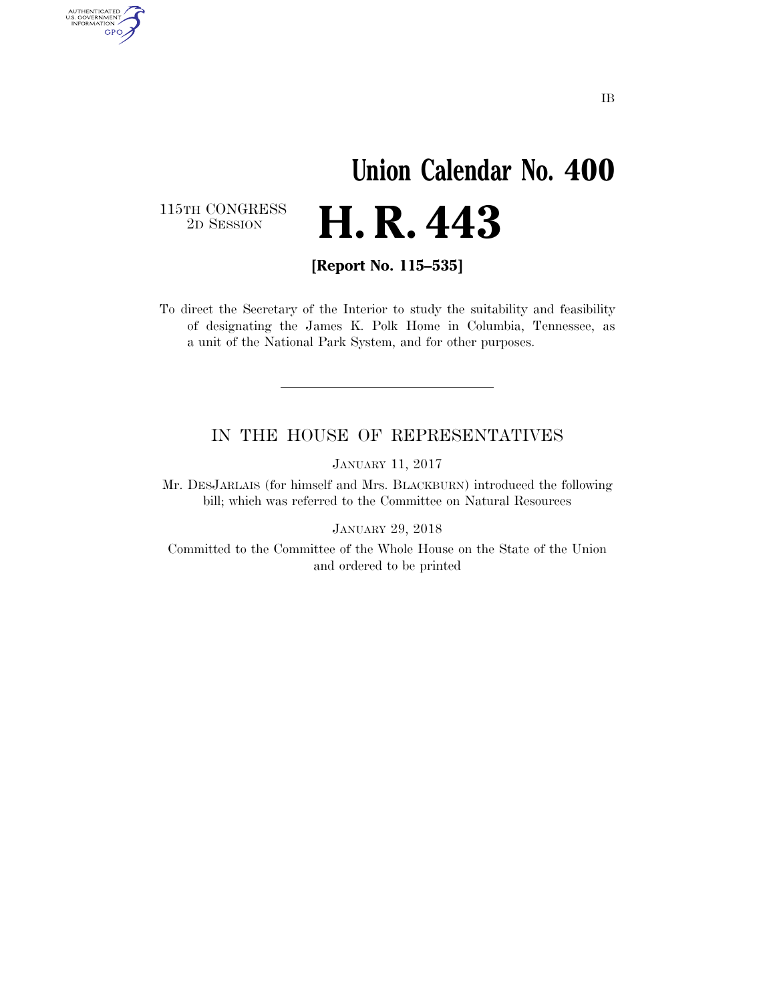## **Union Calendar No. 400**  2D SESSION **H. R. 443**

115TH CONGRESS<br>2D SESSION

AUTHENTICATED<br>U.S. GOVERNMENT<br>INFORMATION GPO

**[Report No. 115–535]** 

To direct the Secretary of the Interior to study the suitability and feasibility of designating the James K. Polk Home in Columbia, Tennessee, as a unit of the National Park System, and for other purposes.

## IN THE HOUSE OF REPRESENTATIVES

JANUARY 11, 2017

Mr. DESJARLAIS (for himself and Mrs. BLACKBURN) introduced the following bill; which was referred to the Committee on Natural Resources

JANUARY 29, 2018

Committed to the Committee of the Whole House on the State of the Union and ordered to be printed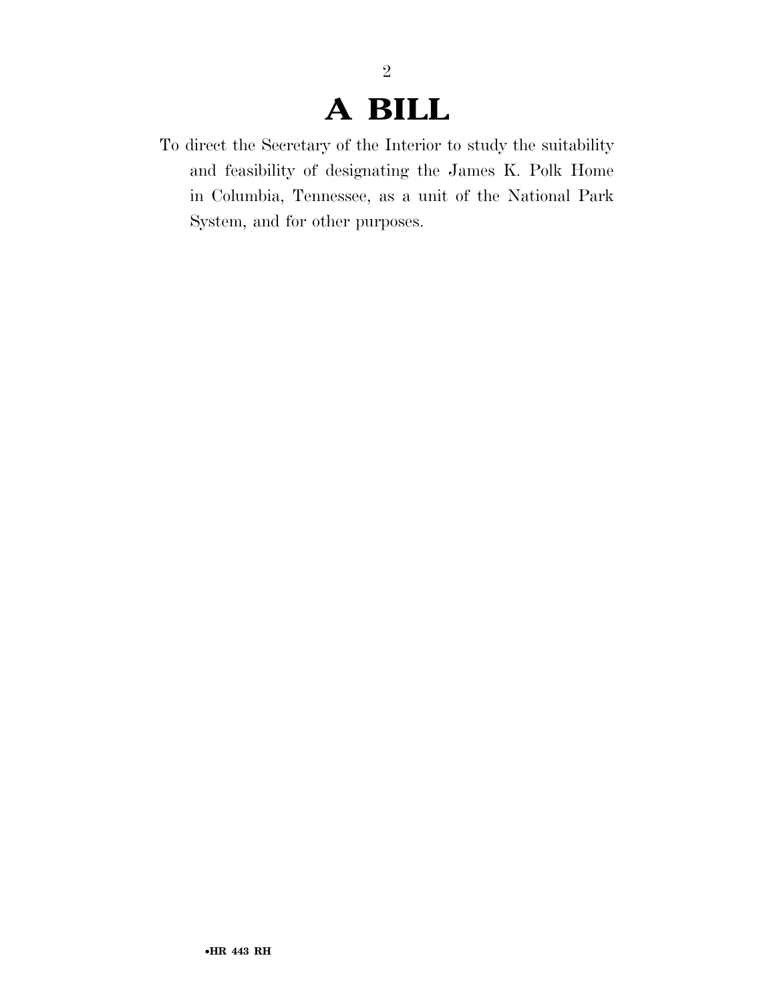## **A BILL**

2

To direct the Secretary of the Interior to study the suitability and feasibility of designating the James K. Polk Home in Columbia, Tennessee, as a unit of the National Park System, and for other purposes.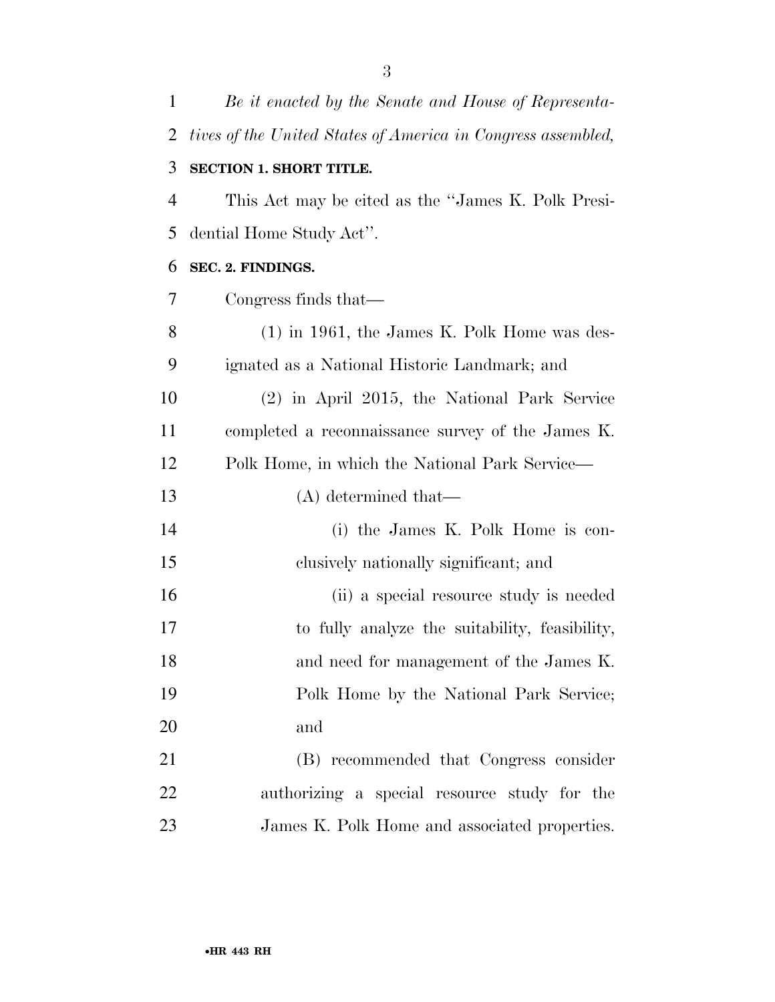| $\mathbf{1}$ | Be it enacted by the Senate and House of Representa-         |
|--------------|--------------------------------------------------------------|
| 2            | tives of the United States of America in Congress assembled, |
| 3            | <b>SECTION 1. SHORT TITLE.</b>                               |
| 4            | This Act may be cited as the "James K. Polk Presi-           |
| 5            | dential Home Study Act".                                     |
| 6            | SEC. 2. FINDINGS.                                            |
| 7            | Congress finds that—                                         |
| 8            | $(1)$ in 1961, the James K. Polk Home was des-               |
| 9            | ignated as a National Historic Landmark; and                 |
| 10           | (2) in April 2015, the National Park Service                 |
| 11           | completed a reconnaissance survey of the James K.            |
| 12           | Polk Home, in which the National Park Service—               |
| 13           | $(A)$ determined that—                                       |
| 14           | (i) the James K. Polk Home is con-                           |
| 15           | clusively nationally significant; and                        |
| 16           | (ii) a special resource study is needed                      |
| 17           | to fully analyze the suitability, feasibility,               |
| 18           | and need for management of the James K.                      |
| 19           | Polk Home by the National Park Service;                      |
| 20           | and                                                          |
| 21           | (B) recommended that Congress consider                       |
| 22           | authorizing a special resource study for the                 |
| 23           | James K. Polk Home and associated properties.                |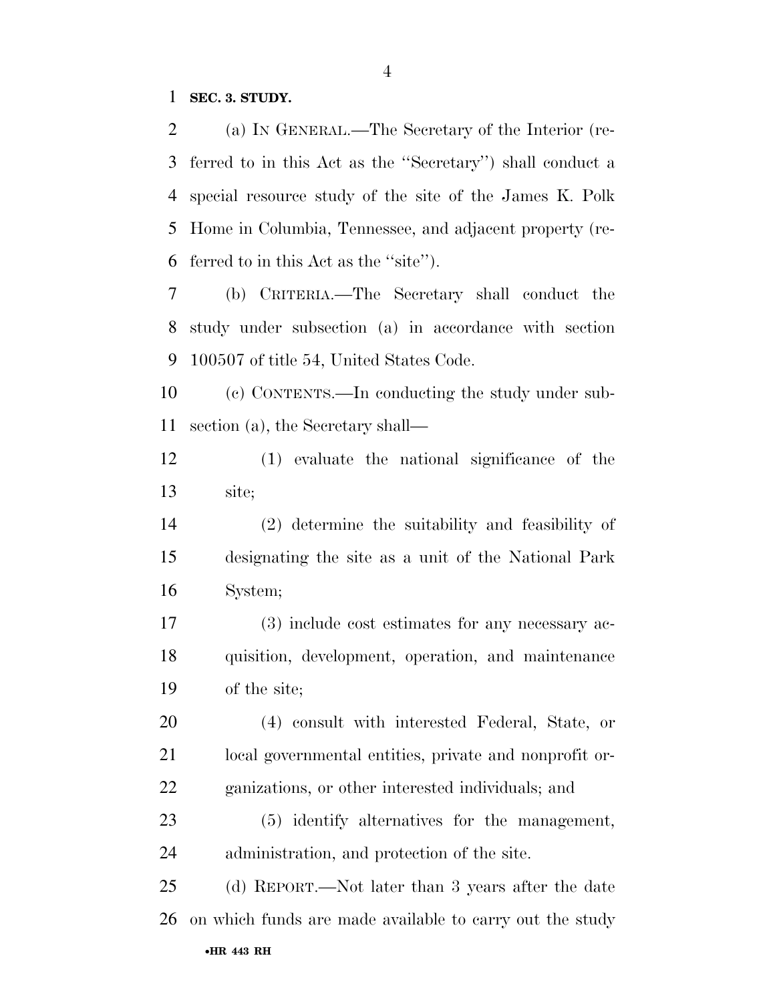**SEC. 3. STUDY.** 

 (a) IN GENERAL.—The Secretary of the Interior (re- ferred to in this Act as the ''Secretary'') shall conduct a special resource study of the site of the James K. Polk Home in Columbia, Tennessee, and adjacent property (re-ferred to in this Act as the ''site'').

 (b) CRITERIA.—The Secretary shall conduct the study under subsection (a) in accordance with section 100507 of title 54, United States Code.

 (c) CONTENTS.—In conducting the study under sub-section (a), the Secretary shall—

 (1) evaluate the national significance of the site;

 (2) determine the suitability and feasibility of designating the site as a unit of the National Park System;

 (3) include cost estimates for any necessary ac- quisition, development, operation, and maintenance of the site;

 (4) consult with interested Federal, State, or local governmental entities, private and nonprofit or-ganizations, or other interested individuals; and

 (5) identify alternatives for the management, administration, and protection of the site.

•**HR 443 RH** (d) REPORT.—Not later than 3 years after the date on which funds are made available to carry out the study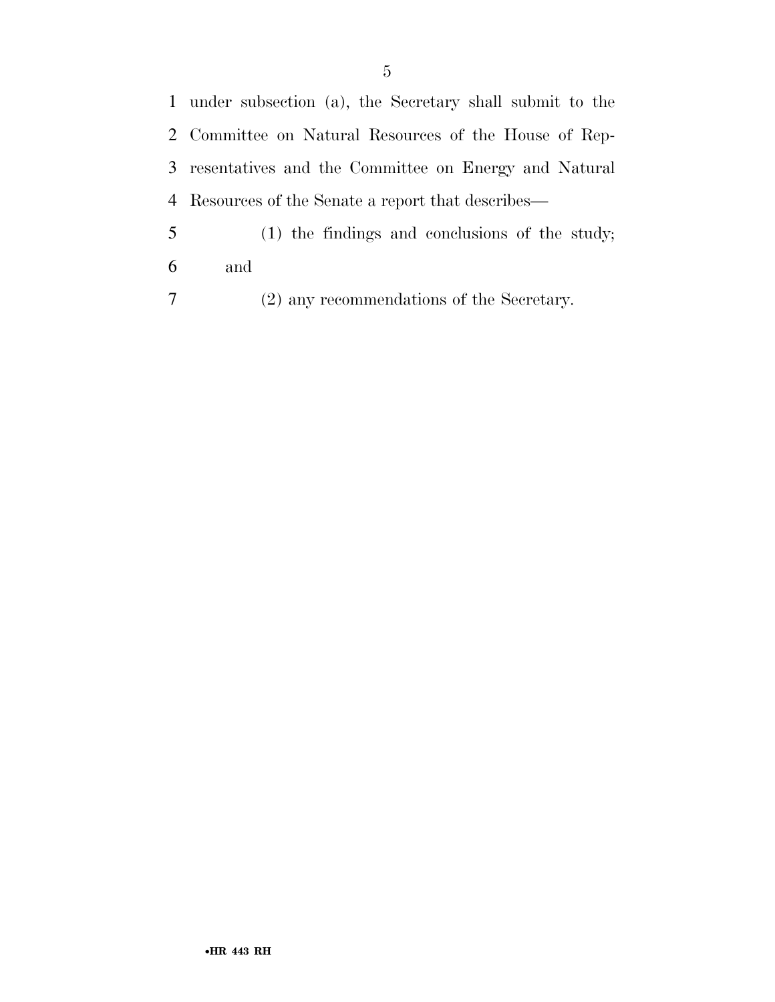under subsection (a), the Secretary shall submit to the Committee on Natural Resources of the House of Rep- resentatives and the Committee on Energy and Natural Resources of the Senate a report that describes—

 (1) the findings and conclusions of the study; and

(2) any recommendations of the Secretary.